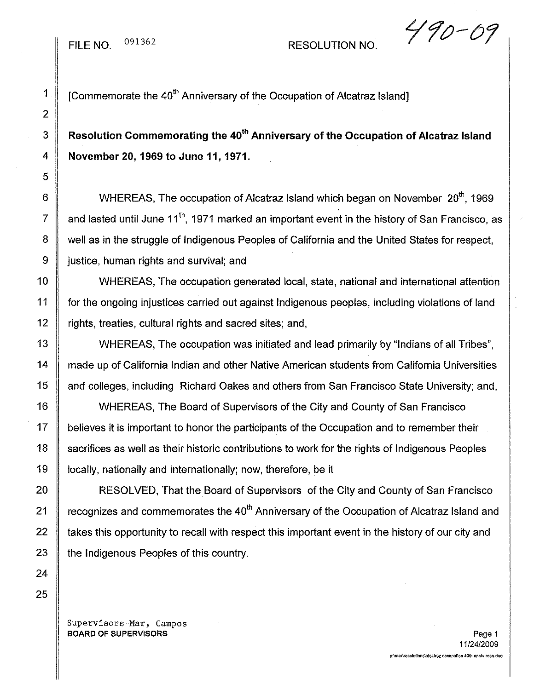1  $\parallel$  [Commemorate the 40<sup>th</sup> Anniversary of the Occupation of Alcatraz Island]

3 **Resolution Commemorating the** 40th **Anniversary of the Occupation of Alcatraz Island** 4 **November 20, 1969 to June 11, 1971.**

6 WHEREAS, The occupation of Alcatraz Island which began on November  $20<sup>th</sup>$ , 1969 7  $\parallel$  and lasted until June 11<sup>th</sup>, 1971 marked an important event in the history of San Francisco, as 8 | well as in the struggle of Indigenous Peoples of California and the United States for respect, 9 | justice, human rights and survival; and

10 WHEREAS, The occupation generated local, state, national and international attention 11 for the ongoing injustices carried out against Indigenous peoples, including violations of land 12 | rights, treaties, cultural rights and sacred sites; and,

13 WHEREAS, The occupation was initiated and lead primarily by "Indians of all Tribes", 14 | made up of California Indian and other Native American students from California Universities 15 | and colleges, including Richard Oakes and others from San Francisco State University; and,

16 | WHEREAS, The Board of Supervisors of the City and County of San Francisco 17 | believes it is important to honor the participants of the Occupation and to remember their 18 Sacrifices as well as their historic contributions to work for the rights of Indigenous Peoples 19 | locally, nationally and internationally; now, therefore, be it

20 **RESOLVED, That the Board of Supervisors of the City and County of San Francisco** 21  $\parallel$  recognizes and commemorates the 40<sup>th</sup> Anniversary of the Occupation of Alcatraz Island and 22 | takes this opportunity to recall with respect this important event in the history of our city and 23 the Indigenous Peoples of this country.

Supervisors Mar, Campos BOARD OF SUPERVISORS And the state of the state of the state of the state of the state of the state of the state of the state of the state of the state of the state of the state of the state of the state of the state of th

 $490 - 09$